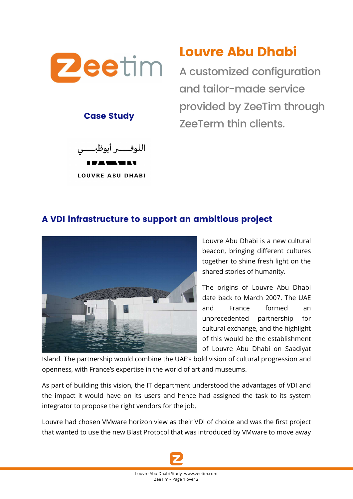

#### Case Study



**LOUVRE ABU DHABI** 

# Louvre Abu Dhabi

A customized configuration and tailor-made service provided by ZeeTim through ZeeTerm thin clients.

### A VDI infrastructure to support an ambitious project



Louvre Abu Dhabi is a new cultural beacon, bringing different cultures together to shine fresh light on the shared stories of humanity.

The origins of Louvre Abu Dhabi date back to March 2007. The UAE and France formed an unprecedented partnership for cultural exchange, and the highlight of this would be the establishment of Louvre Abu Dhabi on Saadiyat

Island. The partnership would combine the UAE's bold vision of cultural progression and openness, with France's expertise in the world of art and museums.

As part of building this vision, the IT department understood the advantages of VDI and the impact it would have on its users and hence had assigned the task to its system integrator to propose the right vendors for the job.

Louvre had chosen VMware horizon view as their VDI of choice and was the first project that wanted to use the new Blast Protocol that was introduced by VMware to move away